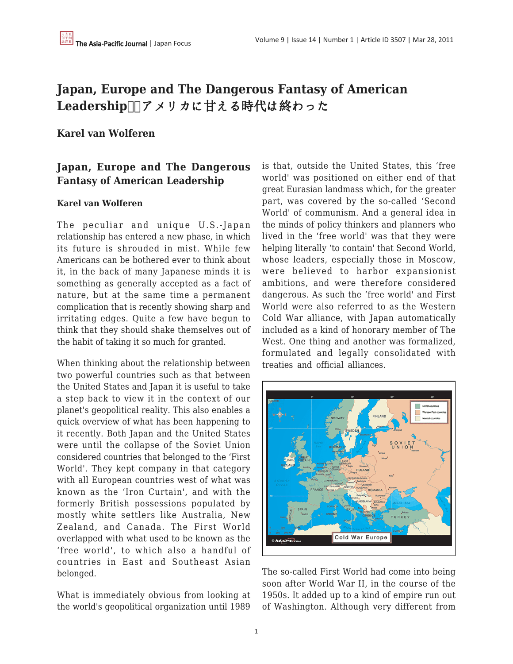# **Japan, Europe and The Dangerous Fantasy of American** Leadership **IIフメリカに甘える時代は終わった**

## **Karel van Wolferen**

# **Japan, Europe and The Dangerous Fantasy of American Leadership**

#### **Karel van Wolferen**

The peculiar and unique U.S.-Japan relationship has entered a new phase, in which its future is shrouded in mist. While few Americans can be bothered ever to think about it, in the back of many Japanese minds it is something as generally accepted as a fact of nature, but at the same time a permanent complication that is recently showing sharp and irritating edges. Quite a few have begun to think that they should shake themselves out of the habit of taking it so much for granted.

When thinking about the relationship between two powerful countries such as that between the United States and Japan it is useful to take a step back to view it in the context of our planet's geopolitical reality. This also enables a quick overview of what has been happening to it recently. Both Japan and the United States were until the collapse of the Soviet Union considered countries that belonged to the 'First World'. They kept company in that category with all European countries west of what was known as the 'Iron Curtain', and with the formerly British possessions populated by mostly white settlers like Australia, New Zealand, and Canada. The First World overlapped with what used to be known as the 'free world', to which also a handful of countries in East and Southeast Asian belonged.

What is immediately obvious from looking at the world's geopolitical organization until 1989 is that, outside the United States, this 'free world' was positioned on either end of that great Eurasian landmass which, for the greater part, was covered by the so-called 'Second World' of communism. And a general idea in the minds of policy thinkers and planners who lived in the 'free world' was that they were helping literally 'to contain' that Second World, whose leaders, especially those in Moscow, were believed to harbor expansionist ambitions, and were therefore considered dangerous. As such the 'free world' and First World were also referred to as the Western Cold War alliance, with Japan automatically included as a kind of honorary member of The West. One thing and another was formalized, formulated and legally consolidated with treaties and official alliances.



The so-called First World had come into being soon after World War II, in the course of the 1950s. It added up to a kind of empire run out of Washington. Although very different from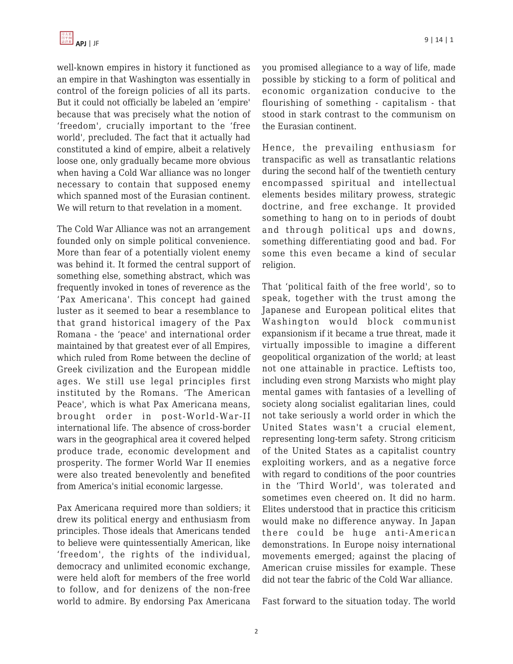well-known empires in history it functioned as an empire in that Washington was essentially in control of the foreign policies of all its parts. But it could not officially be labeled an 'empire' because that was precisely what the notion of 'freedom', crucially important to the 'free world', precluded. The fact that it actually had constituted a kind of empire, albeit a relatively loose one, only gradually became more obvious when having a Cold War alliance was no longer necessary to contain that supposed enemy which spanned most of the Eurasian continent. We will return to that revelation in a moment.

The Cold War Alliance was not an arrangement founded only on simple political convenience. More than fear of a potentially violent enemy was behind it. It formed the central support of something else, something abstract, which was frequently invoked in tones of reverence as the 'Pax Americana'. This concept had gained luster as it seemed to bear a resemblance to that grand historical imagery of the Pax Romana - the 'peace' and international order maintained by that greatest ever of all Empires, which ruled from Rome between the decline of Greek civilization and the European middle ages. We still use legal principles first instituted by the Romans. 'The American Peace', which is what Pax Americana means, brought order in post-World-War-II international life. The absence of cross-border wars in the geographical area it covered helped produce trade, economic development and prosperity. The former World War II enemies were also treated benevolently and benefited from America's initial economic largesse.

Pax Americana required more than soldiers; it drew its political energy and enthusiasm from principles. Those ideals that Americans tended to believe were quintessentially American, like 'freedom', the rights of the individual, democracy and unlimited economic exchange, were held aloft for members of the free world to follow, and for denizens of the non-free world to admire. By endorsing Pax Americana you promised allegiance to a way of life, made possible by sticking to a form of political and economic organization conducive to the flourishing of something - capitalism - that stood in stark contrast to the communism on the Eurasian continent.

Hence, the prevailing enthusiasm for transpacific as well as transatlantic relations during the second half of the twentieth century encompassed spiritual and intellectual elements besides military prowess, strategic doctrine, and free exchange. It provided something to hang on to in periods of doubt and through political ups and downs, something differentiating good and bad. For some this even became a kind of secular religion.

That 'political faith of the free world', so to speak, together with the trust among the Japanese and European political elites that Washington would block communist expansionism if it became a true threat, made it virtually impossible to imagine a different geopolitical organization of the world; at least not one attainable in practice. Leftists too, including even strong Marxists who might play mental games with fantasies of a levelling of society along socialist egalitarian lines, could not take seriously a world order in which the United States wasn't a crucial element, representing long-term safety. Strong criticism of the United States as a capitalist country exploiting workers, and as a negative force with regard to conditions of the poor countries in the 'Third World', was tolerated and sometimes even cheered on. It did no harm. Elites understood that in practice this criticism would make no difference anyway. In Japan there could be huge anti-American demonstrations. In Europe noisy international movements emerged; against the placing of American cruise missiles for example. These did not tear the fabric of the Cold War alliance.

Fast forward to the situation today. The world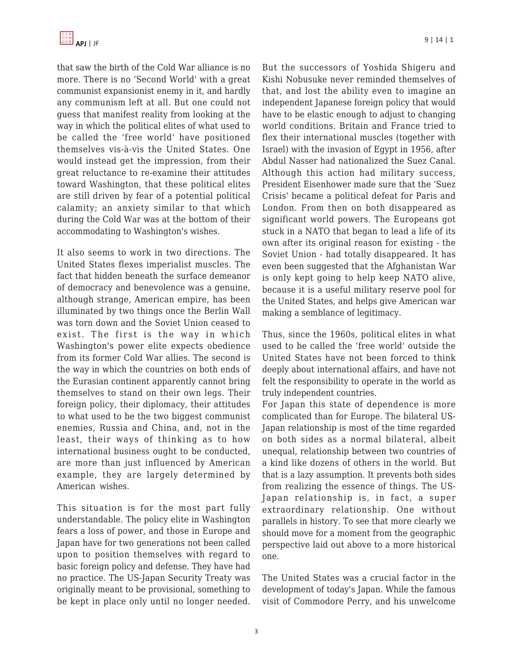

that saw the birth of the Cold War alliance is no more. There is no 'Second World' with a great communist expansionist enemy in it, and hardly any communism left at all. But one could not guess that manifest reality from looking at the way in which the political elites of what used to be called the 'free world' have positioned themselves vis-à-vis the United States. One would instead get the impression, from their great reluctance to re-examine their attitudes toward Washington, that these political elites are still driven by fear of a potential political calamity; an anxiety similar to that which during the Cold War was at the bottom of their accommodating to Washington's wishes.

It also seems to work in two directions. The United States flexes imperialist muscles. The fact that hidden beneath the surface demeanor of democracy and benevolence was a genuine, although strange, American empire, has been illuminated by two things once the Berlin Wall was torn down and the Soviet Union ceased to exist. The first is the way in which Washington's power elite expects obedience from its former Cold War allies. The second is the way in which the countries on both ends of the Eurasian continent apparently cannot bring themselves to stand on their own legs. Their foreign policy, their diplomacy, their attitudes to what used to be the two biggest communist enemies, Russia and China, and, not in the least, their ways of thinking as to how international business ought to be conducted, are more than just influenced by American example, they are largely determined by American wishes.

This situation is for the most part fully understandable. The policy elite in Washington fears a loss of power, and those in Europe and Japan have for two generations not been called upon to position themselves with regard to basic foreign policy and defense. They have had no practice. The US-Japan Security Treaty was originally meant to be provisional, something to be kept in place only until no longer needed.

But the successors of Yoshida Shigeru and Kishi Nobusuke never reminded themselves of that, and lost the ability even to imagine an independent Japanese foreign policy that would have to be elastic enough to adjust to changing world conditions. Britain and France tried to flex their international muscles (together with Israel) with the invasion of Egypt in 1956, after Abdul Nasser had nationalized the Suez Canal. Although this action had military success, President Eisenhower made sure that the 'Suez Crisis' became a political defeat for Paris and London. From then on both disappeared as significant world powers. The Europeans got stuck in a NATO that began to lead a life of its own after its original reason for existing - the Soviet Union - had totally disappeared. It has even been suggested that the Afghanistan War is only kept going to help keep NATO alive, because it is a useful military reserve pool for the United States, and helps give American war making a semblance of legitimacy.

Thus, since the 1960s, political elites in what used to be called the 'free world' outside the United States have not been forced to think deeply about international affairs, and have not felt the responsibility to operate in the world as truly independent countries.

For Japan this state of dependence is more complicated than for Europe. The bilateral US-Japan relationship is most of the time regarded on both sides as a normal bilateral, albeit unequal, relationship between two countries of a kind like dozens of others in the world. But that is a lazy assumption. It prevents both sides from realizing the essence of things. The US-Japan relationship is, in fact, a super extraordinary relationship. One without parallels in history. To see that more clearly we should move for a moment from the geographic perspective laid out above to a more historical one.

The United States was a crucial factor in the development of today's Japan. While the famous visit of Commodore Perry, and his unwelcome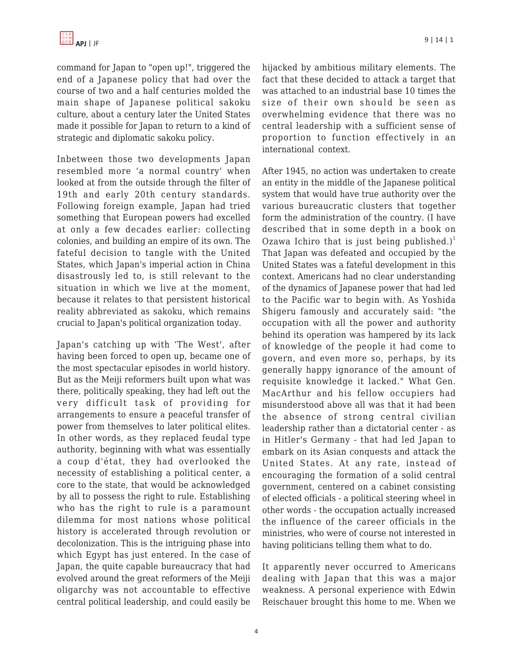command for Japan to "open up!", triggered the end of a Japanese policy that had over the course of two and a half centuries molded the main shape of Japanese political sakoku culture, about a century later the United States made it possible for Japan to return to a kind of strategic and diplomatic sakoku policy.

Inbetween those two developments Japan resembled more 'a normal country' when looked at from the outside through the filter of 19th and early 20th century standards. Following foreign example, Japan had tried something that European powers had excelled at only a few decades earlier: collecting colonies, and building an empire of its own. The fateful decision to tangle with the United States, which Japan's imperial action in China disastrously led to, is still relevant to the situation in which we live at the moment, because it relates to that persistent historical reality abbreviated as sakoku, which remains crucial to Japan's political organization today.

Japan's catching up with 'The West', after having been forced to open up, became one of the most spectacular episodes in world history. But as the Meiji reformers built upon what was there, politically speaking, they had left out the very difficult task of providing for arrangements to ensure a peaceful transfer of power from themselves to later political elites. In other words, as they replaced feudal type authority, beginning with what was essentially a coup d'état, they had overlooked the necessity of establishing a political center, a core to the state, that would be acknowledged by all to possess the right to rule. Establishing who has the right to rule is a paramount dilemma for most nations whose political history is accelerated through revolution or decolonization. This is the intriguing phase into which Egypt has just entered. In the case of Japan, the quite capable bureaucracy that had evolved around the great reformers of the Meiji oligarchy was not accountable to effective central political leadership, and could easily be hijacked by ambitious military elements. The fact that these decided to attack a target that was attached to an industrial base 10 times the size of their own should be seen as overwhelming evidence that there was no central leadership with a sufficient sense of proportion to function effectively in an international context.

After 1945, no action was undertaken to create an entity in the middle of the Japanese political system that would have true authority over the various bureaucratic clusters that together form the administration of the country. (I have described that in some depth in a book on Ozawa Ichiro that is just being published.)<sup>1</sup> That Japan was defeated and occupied by the United States was a fateful development in this context. Americans had no clear understanding of the dynamics of Japanese power that had led to the Pacific war to begin with. As Yoshida Shigeru famously and accurately said: "the occupation with all the power and authority behind its operation was hampered by its lack of knowledge of the people it had come to govern, and even more so, perhaps, by its generally happy ignorance of the amount of requisite knowledge it lacked." What Gen. MacArthur and his fellow occupiers had misunderstood above all was that it had been the absence of strong central civilian leadership rather than a dictatorial center - as in Hitler's Germany - that had led Japan to embark on its Asian conquests and attack the United States. At any rate, instead of encouraging the formation of a solid central government, centered on a cabinet consisting of elected officials - a political steering wheel in other words - the occupation actually increased the influence of the career officials in the ministries, who were of course not interested in having politicians telling them what to do.

It apparently never occurred to Americans dealing with Japan that this was a major weakness. A personal experience with Edwin Reischauer brought this home to me. When we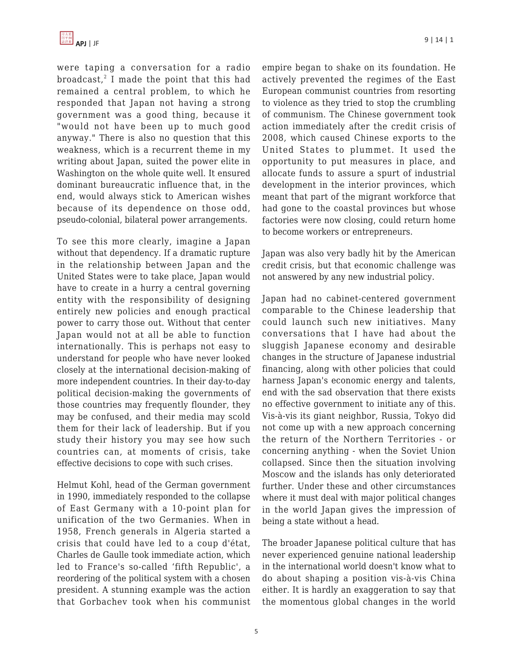

were taping a conversation for a radio broadcast, $^2$  I made the point that this had remained a central problem, to which he responded that Japan not having a strong government was a good thing, because it "would not have been up to much good anyway." There is also no question that this weakness, which is a recurrent theme in my writing about Japan, suited the power elite in Washington on the whole quite well. It ensured dominant bureaucratic influence that, in the end, would always stick to American wishes because of its dependence on those odd, pseudo-colonial, bilateral power arrangements.

To see this more clearly, imagine a Japan without that dependency. If a dramatic rupture in the relationship between Japan and the United States were to take place, Japan would have to create in a hurry a central governing entity with the responsibility of designing entirely new policies and enough practical power to carry those out. Without that center Japan would not at all be able to function internationally. This is perhaps not easy to understand for people who have never looked closely at the international decision-making of more independent countries. In their day-to-day political decision-making the governments of those countries may frequently flounder, they may be confused, and their media may scold them for their lack of leadership. But if you study their history you may see how such countries can, at moments of crisis, take effective decisions to cope with such crises.

Helmut Kohl, head of the German government in 1990, immediately responded to the collapse of East Germany with a 10-point plan for unification of the two Germanies. When in 1958, French generals in Algeria started a crisis that could have led to a coup d'état, Charles de Gaulle took immediate action, which led to France's so-called 'fifth Republic', a reordering of the political system with a chosen president. A stunning example was the action that Gorbachev took when his communist empire began to shake on its foundation. He actively prevented the regimes of the East European communist countries from resorting to violence as they tried to stop the crumbling of communism. The Chinese government took action immediately after the credit crisis of 2008, which caused Chinese exports to the United States to plummet. It used the opportunity to put measures in place, and allocate funds to assure a spurt of industrial development in the interior provinces, which meant that part of the migrant workforce that had gone to the coastal provinces but whose factories were now closing, could return home to become workers or entrepreneurs.

Japan was also very badly hit by the American credit crisis, but that economic challenge was not answered by any new industrial policy.

Japan had no cabinet-centered government comparable to the Chinese leadership that could launch such new initiatives. Many conversations that I have had about the sluggish Japanese economy and desirable changes in the structure of Japanese industrial financing, along with other policies that could harness Japan's economic energy and talents, end with the sad observation that there exists no effective government to initiate any of this. Vis-à-vis its giant neighbor, Russia, Tokyo did not come up with a new approach concerning the return of the Northern Territories - or concerning anything - when the Soviet Union collapsed. Since then the situation involving Moscow and the islands has only deteriorated further. Under these and other circumstances where it must deal with major political changes in the world Japan gives the impression of being a state without a head.

The broader Japanese political culture that has never experienced genuine national leadership in the international world doesn't know what to do about shaping a position vis-à-vis China either. It is hardly an exaggeration to say that the momentous global changes in the world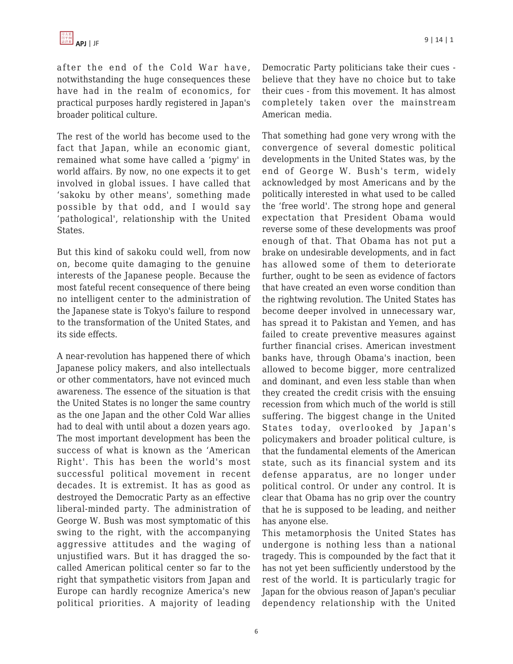

after the end of the Cold War have, notwithstanding the huge consequences these have had in the realm of economics, for practical purposes hardly registered in Japan's broader political culture.

The rest of the world has become used to the fact that Japan, while an economic giant, remained what some have called a 'pigmy' in world affairs. By now, no one expects it to get involved in global issues. I have called that 'sakoku by other means', something made possible by that odd, and I would say 'pathological', relationship with the United States.

But this kind of sakoku could well, from now on, become quite damaging to the genuine interests of the Japanese people. Because the most fateful recent consequence of there being no intelligent center to the administration of the Japanese state is Tokyo's failure to respond to the transformation of the United States, and its side effects.

A near-revolution has happened there of which Japanese policy makers, and also intellectuals or other commentators, have not evinced much awareness. The essence of the situation is that the United States is no longer the same country as the one Japan and the other Cold War allies had to deal with until about a dozen years ago. The most important development has been the success of what is known as the 'American Right'. This has been the world's most successful political movement in recent decades. It is extremist. It has as good as destroyed the Democratic Party as an effective liberal-minded party. The administration of George W. Bush was most symptomatic of this swing to the right, with the accompanying aggressive attitudes and the waging of unjustified wars. But it has dragged the socalled American political center so far to the right that sympathetic visitors from Japan and Europe can hardly recognize America's new political priorities. A majority of leading Democratic Party politicians take their cues believe that they have no choice but to take their cues - from this movement. It has almost completely taken over the mainstream American media.

That something had gone very wrong with the convergence of several domestic political developments in the United States was, by the end of George W. Bush's term, widely acknowledged by most Americans and by the politically interested in what used to be called the 'free world'. The strong hope and general expectation that President Obama would reverse some of these developments was proof enough of that. That Obama has not put a brake on undesirable developments, and in fact has allowed some of them to deteriorate further, ought to be seen as evidence of factors that have created an even worse condition than the rightwing revolution. The United States has become deeper involved in unnecessary war, has spread it to Pakistan and Yemen, and has failed to create preventive measures against further financial crises. American investment banks have, through Obama's inaction, been allowed to become bigger, more centralized and dominant, and even less stable than when they created the credit crisis with the ensuing recession from which much of the world is still suffering. The biggest change in the United States today, overlooked by Japan's policymakers and broader political culture, is that the fundamental elements of the American state, such as its financial system and its defense apparatus, are no longer under political control. Or under any control. It is clear that Obama has no grip over the country that he is supposed to be leading, and neither has anyone else.

This metamorphosis the United States has undergone is nothing less than a national tragedy. This is compounded by the fact that it has not yet been sufficiently understood by the rest of the world. It is particularly tragic for Japan for the obvious reason of Japan's peculiar dependency relationship with the United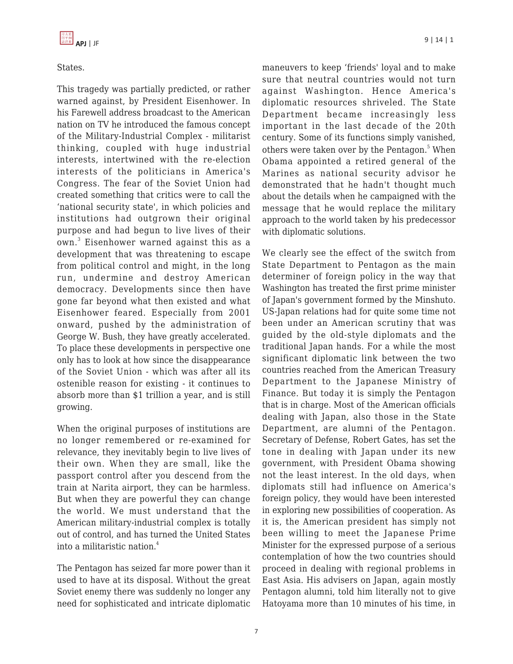### States.

This tragedy was partially predicted, or rather warned against, by President Eisenhower. In his Farewell address broadcast to the American nation on TV he introduced the famous concept of the Military-Industrial Complex - militarist thinking, coupled with huge industrial interests, intertwined with the re-election interests of the politicians in America's Congress. The fear of the Soviet Union had created something that critics were to call the 'national security state', in which policies and institutions had outgrown their original purpose and had begun to live lives of their own.<sup>3</sup> Eisenhower warned against this as a development that was threatening to escape from political control and might, in the long run, undermine and destroy American democracy. Developments since then have gone far beyond what then existed and what Eisenhower feared. Especially from 2001 onward, pushed by the administration of George W. Bush, they have greatly accelerated. To place these developments in perspective one only has to look at how since the disappearance of the Soviet Union - which was after all its ostenible reason for existing - it continues to absorb more than \$1 trillion a year, and is still growing.

When the original purposes of institutions are no longer remembered or re-examined for relevance, they inevitably begin to live lives of their own. When they are small, like the passport control after you descend from the train at Narita airport, they can be harmless. But when they are powerful they can change the world. We must understand that the American military-industrial complex is totally out of control, and has turned the United States into a militaristic nation.<sup>4</sup>

The Pentagon has seized far more power than it used to have at its disposal. Without the great Soviet enemy there was suddenly no longer any need for sophisticated and intricate diplomatic maneuvers to keep 'friends' loyal and to make sure that neutral countries would not turn against Washington. Hence America's diplomatic resources shriveled. The State Department became increasingly less important in the last decade of the 20th century. Some of its functions simply vanished, others were taken over by the Pentagon.<sup>5</sup> When Obama appointed a retired general of the Marines as national security advisor he demonstrated that he hadn't thought much about the details when he campaigned with the message that he would replace the military approach to the world taken by his predecessor with diplomatic solutions.

We clearly see the effect of the switch from State Department to Pentagon as the main determiner of foreign policy in the way that Washington has treated the first prime minister of Japan's government formed by the Minshuto. US-Japan relations had for quite some time not been under an American scrutiny that was guided by the old-style diplomats and the traditional Japan hands. For a while the most significant diplomatic link between the two countries reached from the American Treasury Department to the Japanese Ministry of Finance. But today it is simply the Pentagon that is in charge. Most of the American officials dealing with Japan, also those in the State Department, are alumni of the Pentagon. Secretary of Defense, Robert Gates, has set the tone in dealing with Japan under its new government, with President Obama showing not the least interest. In the old days, when diplomats still had influence on America's foreign policy, they would have been interested in exploring new possibilities of cooperation. As it is, the American president has simply not been willing to meet the Japanese Prime Minister for the expressed purpose of a serious contemplation of how the two countries should proceed in dealing with regional problems in East Asia. His advisers on Japan, again mostly Pentagon alumni, told him literally not to give Hatoyama more than 10 minutes of his time, in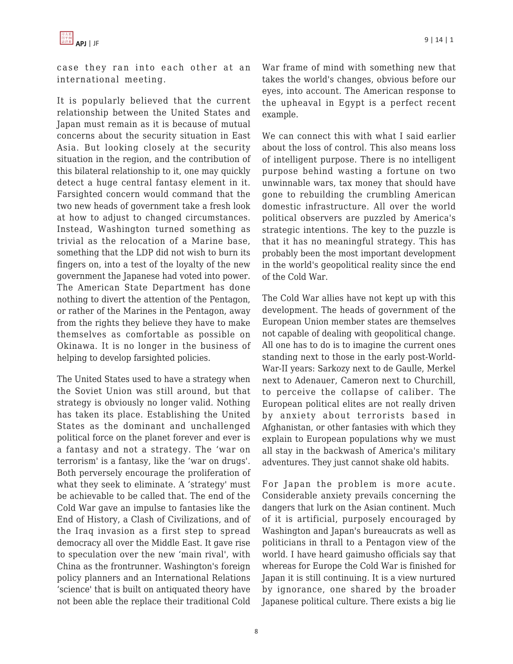

case they ran into each other at an international meeting.

It is popularly believed that the current relationship between the United States and Japan must remain as it is because of mutual concerns about the security situation in East Asia. But looking closely at the security situation in the region, and the contribution of this bilateral relationship to it, one may quickly detect a huge central fantasy element in it. Farsighted concern would command that the two new heads of government take a fresh look at how to adjust to changed circumstances. Instead, Washington turned something as trivial as the relocation of a Marine base, something that the LDP did not wish to burn its fingers on, into a test of the loyalty of the new government the Japanese had voted into power. The American State Department has done nothing to divert the attention of the Pentagon, or rather of the Marines in the Pentagon, away from the rights they believe they have to make themselves as comfortable as possible on Okinawa. It is no longer in the business of helping to develop farsighted policies.

The United States used to have a strategy when the Soviet Union was still around, but that strategy is obviously no longer valid. Nothing has taken its place. Establishing the United States as the dominant and unchallenged political force on the planet forever and ever is a fantasy and not a strategy. The 'war on terrorism' is a fantasy, like the 'war on drugs'. Both perversely encourage the proliferation of what they seek to eliminate. A 'strategy' must be achievable to be called that. The end of the Cold War gave an impulse to fantasies like the End of History, a Clash of Civilizations, and of the Iraq invasion as a first step to spread democracy all over the Middle East. It gave rise to speculation over the new 'main rival', with China as the frontrunner. Washington's foreign policy planners and an International Relations 'science' that is built on antiquated theory have not been able the replace their traditional Cold War frame of mind with something new that takes the world's changes, obvious before our eyes, into account. The American response to the upheaval in Egypt is a perfect recent example.

We can connect this with what I said earlier about the loss of control. This also means loss of intelligent purpose. There is no intelligent purpose behind wasting a fortune on two unwinnable wars, tax money that should have gone to rebuilding the crumbling American domestic infrastructure. All over the world political observers are puzzled by America's strategic intentions. The key to the puzzle is that it has no meaningful strategy. This has probably been the most important development in the world's geopolitical reality since the end of the Cold War.

The Cold War allies have not kept up with this development. The heads of government of the European Union member states are themselves not capable of dealing with geopolitical change. All one has to do is to imagine the current ones standing next to those in the early post-World-War-II years: Sarkozy next to de Gaulle, Merkel next to Adenauer, Cameron next to Churchill, to perceive the collapse of caliber. The European political elites are not really driven by anxiety about terrorists based in Afghanistan, or other fantasies with which they explain to European populations why we must all stay in the backwash of America's military adventures. They just cannot shake old habits.

For Japan the problem is more acute. Considerable anxiety prevails concerning the dangers that lurk on the Asian continent. Much of it is artificial, purposely encouraged by Washington and Japan's bureaucrats as well as politicians in thrall to a Pentagon view of the world. I have heard gaimusho officials say that whereas for Europe the Cold War is finished for Japan it is still continuing. It is a view nurtured by ignorance, one shared by the broader Japanese political culture. There exists a big lie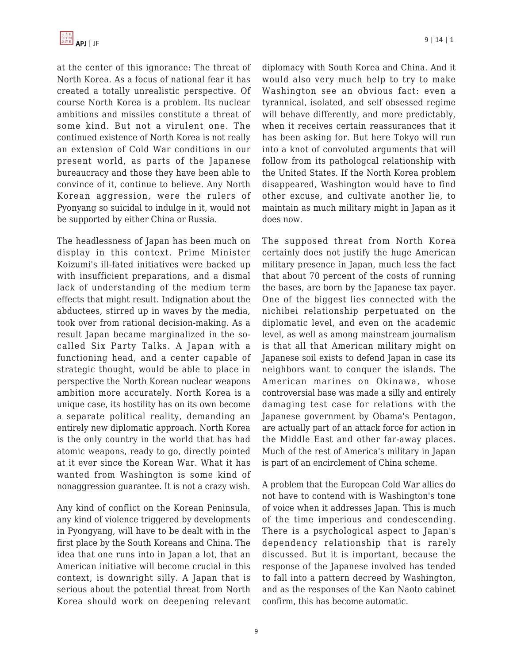

at the center of this ignorance: The threat of North Korea. As a focus of national fear it has created a totally unrealistic perspective. Of course North Korea is a problem. Its nuclear ambitions and missiles constitute a threat of some kind. But not a virulent one. The continued existence of North Korea is not really an extension of Cold War conditions in our present world, as parts of the Japanese bureaucracy and those they have been able to convince of it, continue to believe. Any North Korean aggression, were the rulers of Pyonyang so suicidal to indulge in it, would not be supported by either China or Russia.

The headlessness of Japan has been much on display in this context. Prime Minister Koizumi's ill-fated initiatives were backed up with insufficient preparations, and a dismal lack of understanding of the medium term effects that might result. Indignation about the abductees, stirred up in waves by the media, took over from rational decision-making. As a result Japan became marginalized in the socalled Six Party Talks. A Japan with a functioning head, and a center capable of strategic thought, would be able to place in perspective the North Korean nuclear weapons ambition more accurately. North Korea is a unique case, its hostility has on its own become a separate political reality, demanding an entirely new diplomatic approach. North Korea is the only country in the world that has had atomic weapons, ready to go, directly pointed at it ever since the Korean War. What it has wanted from Washington is some kind of nonaggression guarantee. It is not a crazy wish.

Any kind of conflict on the Korean Peninsula, any kind of violence triggered by developments in Pyongyang, will have to be dealt with in the first place by the South Koreans and China. The idea that one runs into in Japan a lot, that an American initiative will become crucial in this context, is downright silly. A Japan that is serious about the potential threat from North Korea should work on deepening relevant diplomacy with South Korea and China. And it would also very much help to try to make Washington see an obvious fact: even a tyrannical, isolated, and self obsessed regime will behave differently, and more predictably, when it receives certain reassurances that it has been asking for. But here Tokyo will run into a knot of convoluted arguments that will follow from its pathologcal relationship with the United States. If the North Korea problem disappeared, Washington would have to find other excuse, and cultivate another lie, to maintain as much military might in Japan as it does now.

The supposed threat from North Korea certainly does not justify the huge American military presence in Japan, much less the fact that about 70 percent of the costs of running the bases, are born by the Japanese tax payer. One of the biggest lies connected with the nichibei relationship perpetuated on the diplomatic level, and even on the academic level, as well as among mainstream journalism is that all that American military might on Japanese soil exists to defend Japan in case its neighbors want to conquer the islands. The American marines on Okinawa, whose controversial base was made a silly and entirely damaging test case for relations with the Japanese government by Obama's Pentagon, are actually part of an attack force for action in the Middle East and other far-away places. Much of the rest of America's military in Japan is part of an encirclement of China scheme.

A problem that the European Cold War allies do not have to contend with is Washington's tone of voice when it addresses Japan. This is much of the time imperious and condescending. There is a psychological aspect to Japan's dependency relationship that is rarely discussed. But it is important, because the response of the Japanese involved has tended to fall into a pattern decreed by Washington, and as the responses of the Kan Naoto cabinet confirm, this has become automatic.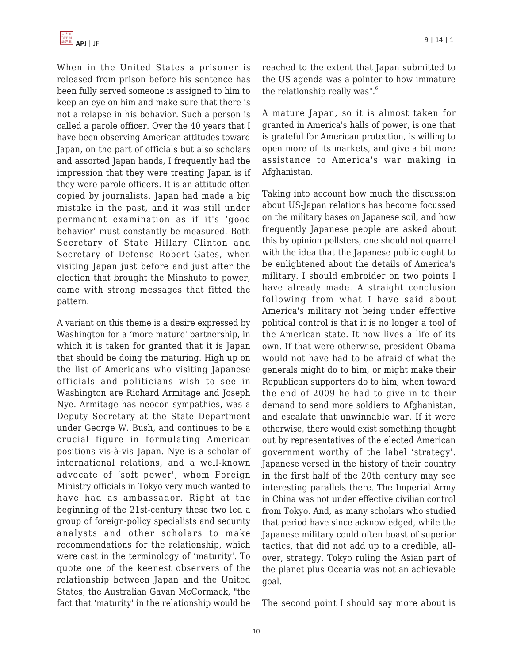When in the United States a prisoner is released from prison before his sentence has been fully served someone is assigned to him to keep an eye on him and make sure that there is not a relapse in his behavior. Such a person is called a parole officer. Over the 40 years that I have been observing American attitudes toward Japan, on the part of officials but also scholars and assorted Japan hands, I frequently had the impression that they were treating Japan is if they were parole officers. It is an attitude often copied by journalists. Japan had made a big mistake in the past, and it was still under permanent examination as if it's 'good behavior' must constantly be measured. Both Secretary of State Hillary Clinton and Secretary of Defense Robert Gates, when visiting Japan just before and just after the election that brought the Minshuto to power, came with strong messages that fitted the pattern.

A variant on this theme is a desire expressed by Washington for a 'more mature' partnership, in which it is taken for granted that it is Japan that should be doing the maturing. High up on the list of Americans who visiting Japanese officials and politicians wish to see in Washington are Richard Armitage and Joseph Nye. Armitage has neocon sympathies, was a Deputy Secretary at the State Department under George W. Bush, and continues to be a crucial figure in formulating American positions vis-à-vis Japan. Nye is a scholar of international relations, and a well-known advocate of 'soft power', whom Foreign Ministry officials in Tokyo very much wanted to have had as ambassador. Right at the beginning of the 21st-century these two led a group of foreign-policy specialists and security analysts and other scholars to make recommendations for the relationship, which were cast in the terminology of 'maturity'. To quote one of the keenest observers of the relationship between Japan and the United States, the Australian Gavan McCormack, "the fact that 'maturity' in the relationship would be reached to the extent that Japan submitted to the US agenda was a pointer to how immature the relationship really was". $6$ 

A mature Japan, so it is almost taken for granted in America's halls of power, is one that is grateful for American protection, is willing to open more of its markets, and give a bit more assistance to America's war making in Afghanistan.

Taking into account how much the discussion about US-Japan relations has become focussed on the military bases on Japanese soil, and how frequently Japanese people are asked about this by opinion pollsters, one should not quarrel with the idea that the Japanese public ought to be enlightened about the details of America's military. I should embroider on two points I have already made. A straight conclusion following from what I have said about America's military not being under effective political control is that it is no longer a tool of the American state. It now lives a life of its own. If that were otherwise, president Obama would not have had to be afraid of what the generals might do to him, or might make their Republican supporters do to him, when toward the end of 2009 he had to give in to their demand to send more soldiers to Afghanistan, and escalate that unwinnable war. If it were otherwise, there would exist something thought out by representatives of the elected American government worthy of the label 'strategy'. Japanese versed in the history of their country in the first half of the 20th century may see interesting parallels there. The Imperial Army in China was not under effective civilian control from Tokyo. And, as many scholars who studied that period have since acknowledged, while the Japanese military could often boast of superior tactics, that did not add up to a credible, allover, strategy. Tokyo ruling the Asian part of the planet plus Oceania was not an achievable goal.

The second point I should say more about is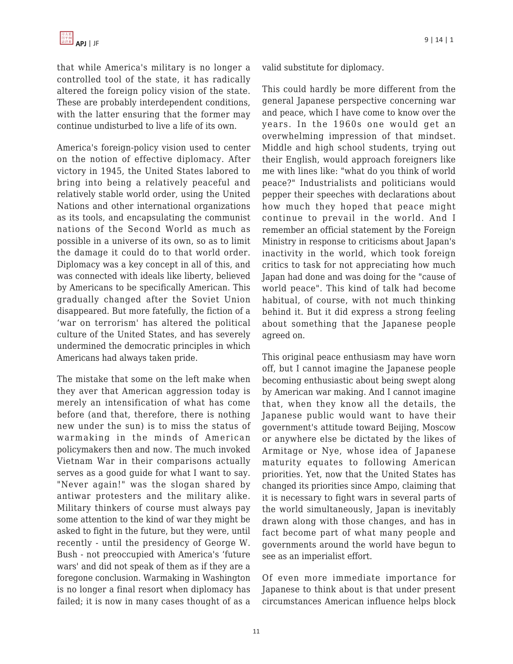that while America's military is no longer a controlled tool of the state, it has radically altered the foreign policy vision of the state. These are probably interdependent conditions, with the latter ensuring that the former may continue undisturbed to live a life of its own.

America's foreign-policy vision used to center on the notion of effective diplomacy. After victory in 1945, the United States labored to bring into being a relatively peaceful and relatively stable world order, using the United Nations and other international organizations as its tools, and encapsulating the communist nations of the Second World as much as possible in a universe of its own, so as to limit the damage it could do to that world order. Diplomacy was a key concept in all of this, and was connected with ideals like liberty, believed by Americans to be specifically American. This gradually changed after the Soviet Union disappeared. But more fatefully, the fiction of a 'war on terrorism' has altered the political culture of the United States, and has severely undermined the democratic principles in which Americans had always taken pride.

The mistake that some on the left make when they aver that American aggression today is merely an intensification of what has come before (and that, therefore, there is nothing new under the sun) is to miss the status of warmaking in the minds of American policymakers then and now. The much invoked Vietnam War in their comparisons actually serves as a good guide for what I want to say. "Never again!" was the slogan shared by antiwar protesters and the military alike. Military thinkers of course must always pay some attention to the kind of war they might be asked to fight in the future, but they were, until recently - until the presidency of George W. Bush - not preoccupied with America's 'future wars' and did not speak of them as if they are a foregone conclusion. Warmaking in Washington is no longer a final resort when diplomacy has failed; it is now in many cases thought of as a

valid substitute for diplomacy.

This could hardly be more different from the general Japanese perspective concerning war and peace, which I have come to know over the years. In the 1960s one would get an overwhelming impression of that mindset. Middle and high school students, trying out their English, would approach foreigners like me with lines like: "what do you think of world peace?" Industrialists and politicians would pepper their speeches with declarations about how much they hoped that peace might continue to prevail in the world. And I remember an official statement by the Foreign Ministry in response to criticisms about Japan's inactivity in the world, which took foreign critics to task for not appreciating how much Japan had done and was doing for the "cause of world peace". This kind of talk had become habitual, of course, with not much thinking behind it. But it did express a strong feeling about something that the Japanese people agreed on.

This original peace enthusiasm may have worn off, but I cannot imagine the Japanese people becoming enthusiastic about being swept along by American war making. And I cannot imagine that, when they know all the details, the Japanese public would want to have their government's attitude toward Beijing, Moscow or anywhere else be dictated by the likes of Armitage or Nye, whose idea of Japanese maturity equates to following American priorities. Yet, now that the United States has changed its priorities since Ampo, claiming that it is necessary to fight wars in several parts of the world simultaneously, Japan is inevitably drawn along with those changes, and has in fact become part of what many people and governments around the world have begun to see as an imperialist effort.

Of even more immediate importance for Japanese to think about is that under present circumstances American influence helps block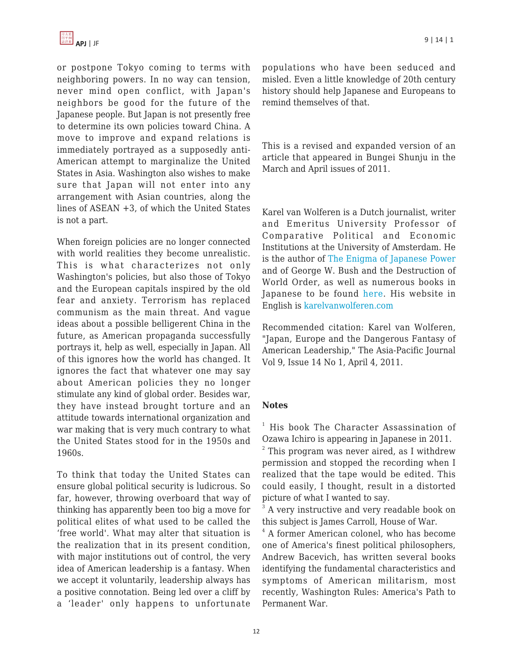or postpone Tokyo coming to terms with neighboring powers. In no way can tension, never mind open conflict, with Japan's neighbors be good for the future of the Japanese people. But Japan is not presently free to determine its own policies toward China. A move to improve and expand relations is immediately portrayed as a supposedly anti-American attempt to marginalize the United States in Asia. Washington also wishes to make sure that Japan will not enter into any arrangement with Asian countries, along the lines of ASEAN +3, of which the United States is not a part.

When foreign policies are no longer connected with world realities they become unrealistic. This is what characterizes not only Washington's policies, but also those of Tokyo and the European capitals inspired by the old fear and anxiety. Terrorism has replaced communism as the main threat. And vague ideas about a possible belligerent China in the future, as American propaganda successfully portrays it, help as well, especially in Japan. All of this ignores how the world has changed. It ignores the fact that whatever one may say about American policies they no longer stimulate any kind of global order. Besides war, they have instead brought torture and an attitude towards international organization and war making that is very much contrary to what the United States stood for in the 1950s and 1960s.

To think that today the United States can ensure global political security is ludicrous. So far, however, throwing overboard that way of thinking has apparently been too big a move for political elites of what used to be called the 'free world'. What may alter that situation is the realization that in its present condition, with major institutions out of control, the very idea of American leadership is a fantasy. When we accept it voluntarily, leadership always has a positive connotation. Being led over a cliff by a 'leader' only happens to unfortunate populations who have been seduced and misled. Even a little knowledge of 20th century history should help Japanese and Europeans to remind themselves of that.

This is a revised and expanded version of an article that appeared in Bungei Shunju in the March and April issues of 2011.

Karel van Wolferen is a Dutch journalist, writer and Emeritus University Professor of Comparative Political and Economic Institutions at the University of Amsterdam. He is the author of [The Enigma of Japanese Power](http://www.amazon.com/dp/0679728023/?tag=theasipacjo0b-20) and of George W. Bush and the Destruction of World Order, as well as numerous books in Japanese to be found [here.](http://www.wolferen.jp/index.php?t=1&h=2) His website in English is [karelvanwolferen.com](http://www.karelvanwolferen.com)

Recommended citation: Karel van Wolferen, "Japan, Europe and the Dangerous Fantasy of American Leadership," The Asia-Pacific Journal Vol 9, Issue 14 No 1, April 4, 2011.

#### **Notes**

<sup>1</sup> His book The Character Assassination of Ozawa Ichiro is appearing in Japanese in 2011.

 $2$  This program was never aired, as I withdrew permission and stopped the recording when I realized that the tape would be edited. This could easily, I thought, result in a distorted picture of what I wanted to say.

<sup>3</sup> A very instructive and very readable book on this subject is James Carroll, House of War.

4 A former American colonel, who has become one of America's finest political philosophers, Andrew Bacevich, has written several books identifying the fundamental characteristics and symptoms of American militarism, most recently, Washington Rules: America's Path to Permanent War.